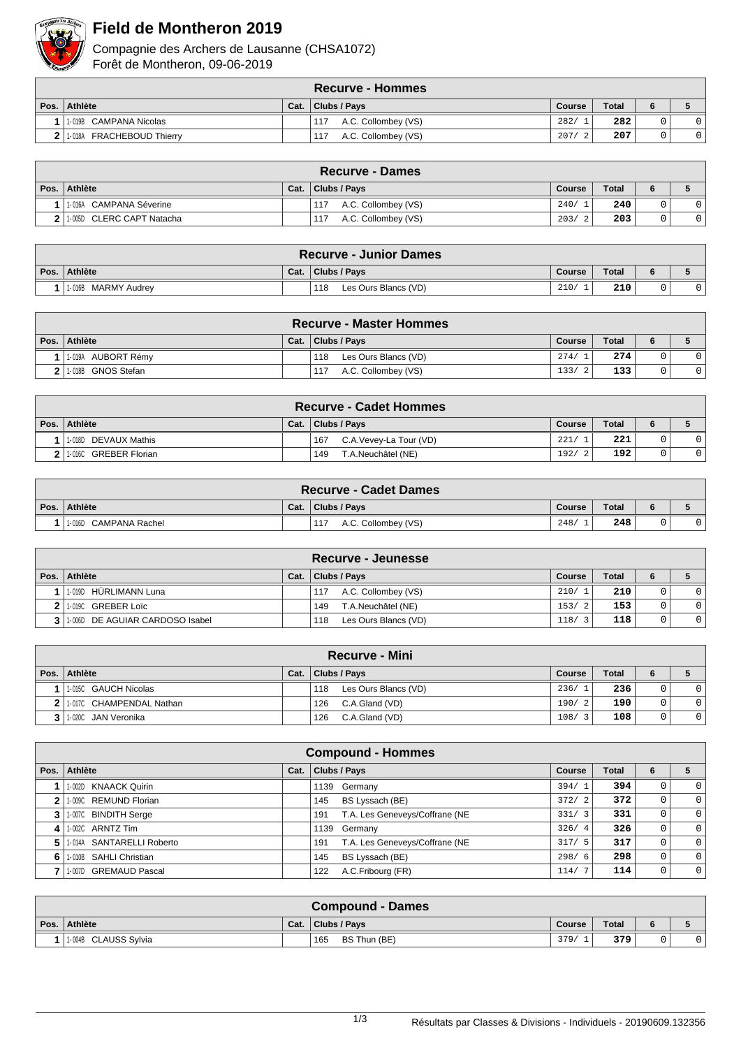

## **Field de Montheron 2019**

Compagnie des Archers de Lausanne (CHSA1072) Forêt de Montheron, 09-06-2019

|      | <b>Recurve - Hommes</b>   |      |                            |            |              |   |  |  |  |  |  |
|------|---------------------------|------|----------------------------|------------|--------------|---|--|--|--|--|--|
| Pos. | Athlète                   | Cat. | Clubs / Pays               | Course     | <b>Total</b> | 6 |  |  |  |  |  |
|      | 1-019B CAMPANA Nicolas    |      | A.C. Collombey (VS)<br>117 | 282/       | 282          |   |  |  |  |  |  |
|      | 1-018A FRACHEBOUD Thierry |      | A.C. Collombey (VS)<br>117 | 207/<br>-2 | 207          |   |  |  |  |  |  |

| <b>Recurve - Dames</b>    |      |                            |        |              |   |  |  |  |  |  |
|---------------------------|------|----------------------------|--------|--------------|---|--|--|--|--|--|
| Pos. Athlète              | Cat. | Clubs / Pavs               | Course | <b>Total</b> | 6 |  |  |  |  |  |
| 1-016A CAMPANA Séverine   |      | A.C. Collombey (VS)<br>117 | 240/   | 240          |   |  |  |  |  |  |
| 1-005D CLERC CAPT Natacha |      | A.C. Collombey (VS)<br>117 | 203/   | 203          |   |  |  |  |  |  |

| <b>Recurve - Junior Dames</b> |      |                             |               |       |  |  |  |  |  |
|-------------------------------|------|-----------------------------|---------------|-------|--|--|--|--|--|
| Pos. Athlète                  | Cat. | Clubs / Pays                | <b>Course</b> | Total |  |  |  |  |  |
| 1-016B MARMY Audrey           |      | Les Ours Blancs (VD)<br>118 | 210/          | 210   |  |  |  |  |  |

| <b>Recurve - Master Hommes</b> |      |                             |        |              |  |  |  |  |  |  |
|--------------------------------|------|-----------------------------|--------|--------------|--|--|--|--|--|--|
| Pos. Athlète                   | Cat. | Clubs / Pays                | Course | <b>Total</b> |  |  |  |  |  |  |
| 1-019A AUBORT Rémy             |      | 118<br>Les Ours Blancs (VD) | 274/   | 274          |  |  |  |  |  |  |
| 2 1.018B GNOS Stefan           |      | A.C. Collombey (VS)<br>117  | 133/   | 133          |  |  |  |  |  |  |

| <b>Recurve - Cadet Hommes</b> |      |                                  |        |              |   |  |  |  |  |  |
|-------------------------------|------|----------------------------------|--------|--------------|---|--|--|--|--|--|
| Pos. Athlète                  | Cat. | Clubs / Pavs                     | Course | <b>Total</b> | 6 |  |  |  |  |  |
| 1-018D DEVAUX Mathis          |      | C.A. Vevey-La Tour (VD)<br>167   | 221/   | 221          |   |  |  |  |  |  |
| 1-016C GREBER Florian         |      | <b>F.A.Neuchâtel (NE)</b><br>149 | 192/   | 192          |   |  |  |  |  |  |

| <b>Recurve - Cadet Dames</b> |      |                            |        |              |  |  |  |  |  |
|------------------------------|------|----------------------------|--------|--------------|--|--|--|--|--|
| Pos. Athlète                 | Cat. | Clubs / Pays               | Course | <b>Total</b> |  |  |  |  |  |
| 1-016D CAMPANA Rachel        |      | A.C. Collombey (VS)<br>117 | 248/   | 248          |  |  |  |  |  |

| Recurve - Jeunesse                  |      |                             |                      |              |   |                |  |  |  |  |
|-------------------------------------|------|-----------------------------|----------------------|--------------|---|----------------|--|--|--|--|
| Pos. Athlète                        | Cat. | Clubs / Pays                | Course               | <b>Total</b> | 6 |                |  |  |  |  |
| 1-019D HÜRLIMANN Luna               |      | A.C. Collombey (VS)<br>117  | 210/1                | 210          |   | 0 I            |  |  |  |  |
| 1.019C GREBER Loïc                  |      | T.A.Neuchâtel (NE)<br>149   | 153/<br>- 2          | 153          |   |                |  |  |  |  |
| 3   1-006D DE AGUIAR CARDOSO Isabel |      | Les Ours Blancs (VD)<br>118 | 118/<br>$\mathbf{3}$ | 118          |   | 0 <sup>1</sup> |  |  |  |  |

|      | <b>Recurve - Mini</b>      |      |                             |        |       |  |              |  |  |  |  |
|------|----------------------------|------|-----------------------------|--------|-------|--|--------------|--|--|--|--|
| Pos. | Athlète                    | Cat. | Clubs / Pays                | Course | Total |  |              |  |  |  |  |
|      | 1-015C GAUCH Nicolas       |      | Les Ours Blancs (VD)<br>118 | 236/1  | 236   |  | $\mathbf 0$  |  |  |  |  |
|      | 2 1.017C CHAMPENDAL Nathan |      | 126<br>C.A.Gland (VD)       | 190/2  | 190   |  | $\mathbf{0}$ |  |  |  |  |
|      | 3 1.020C JAN Veronika      |      | C.A.Gland (VD)<br>126       | 108/3  | 108   |  | $\mathbf 0$  |  |  |  |  |

| <b>Compound - Hommes</b> |                           |      |                                       |               |              |          |                |  |  |  |  |
|--------------------------|---------------------------|------|---------------------------------------|---------------|--------------|----------|----------------|--|--|--|--|
|                          | Pos. Athlète              | Cat. | <b>Clubs / Pays</b>                   | <b>Course</b> | <b>Total</b> | 6        |                |  |  |  |  |
|                          | 1-002D KNAACK Quirin      |      | 1139 Germany                          | 394/1         | 394          | 0        | $\overline{0}$ |  |  |  |  |
|                          | 1-009C REMUND Florian     |      | BS Lyssach (BE)<br>145                | 372/2         | 372          | 0        | $\overline{0}$ |  |  |  |  |
|                          | 1-007C BINDITH Serge      |      | T.A. Les Geneveys/Coffrane (NE<br>191 | 331/3         | 331          | $\Omega$ | $\overline{0}$ |  |  |  |  |
| 4                        | 1-002C ARNTZ Tim          |      | 1139 Germany                          | 326/4         | 326          | 0        | $\circ$        |  |  |  |  |
| 51                       | 1-014A SANTARELLI Roberto |      | T.A. Les Geneveys/Coffrane (NE<br>191 | 317/5         | 317          | 0        | $\overline{0}$ |  |  |  |  |
| 6 I                      | 1-010B SAHLI Christian    |      | BS Lyssach (BE)<br>145                | 298/6         | 298          | 0        | $\circ$        |  |  |  |  |
|                          | 1-007D GREMAUD Pascal     |      | A.C.Fribourg (FR)<br>122              | 114/          | 114          | 0        | $\overline{0}$ |  |  |  |  |

| <b>Compound - Dames</b> |      |                     |        |              |   |  |  |  |  |  |
|-------------------------|------|---------------------|--------|--------------|---|--|--|--|--|--|
| Pos. Athlète            | Cat. | <b>Clubs / Pays</b> | Course | <b>Total</b> | 6 |  |  |  |  |  |
| 1.004B CLAUSS Sylvia    |      | 165<br>BS Thun (BE) | 379/   | 379          |   |  |  |  |  |  |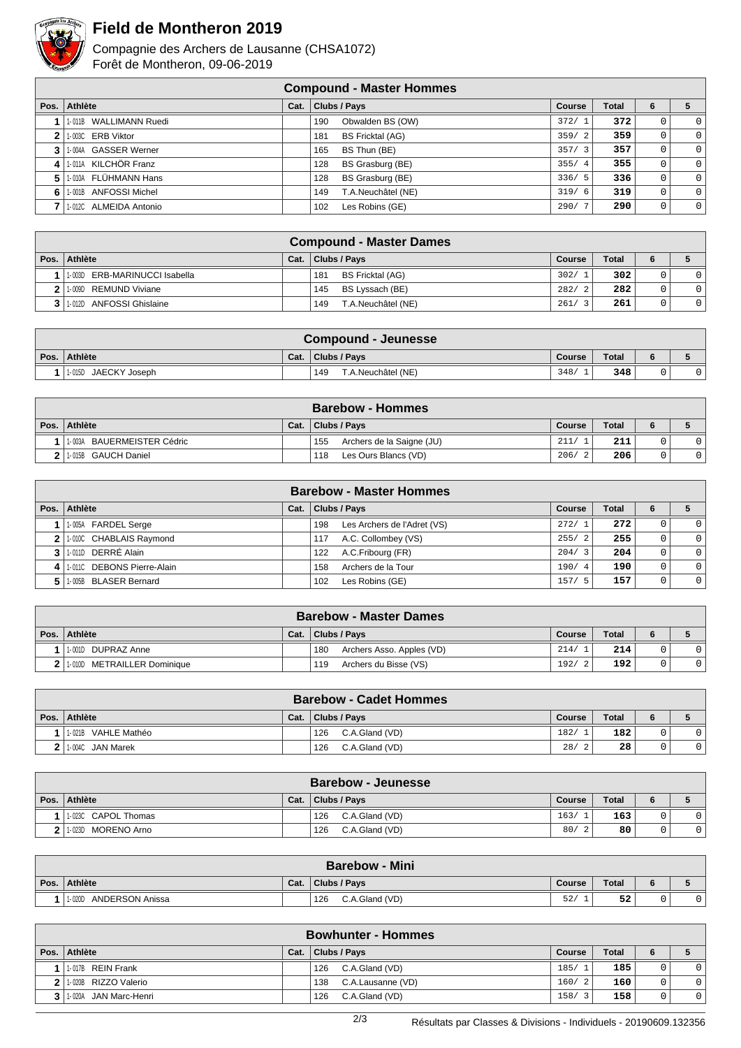

## **Field de Montheron 2019**

Compagnie des Archers de Lausanne (CHSA1072) Forêt de Montheron, 09-06-2019

|      | <b>Compound - Master Hommes</b> |      |                                |        |              |   |                |  |  |  |  |  |
|------|---------------------------------|------|--------------------------------|--------|--------------|---|----------------|--|--|--|--|--|
| Pos. | Athlète                         | Cat. | Clubs / Pays                   | Course | <b>Total</b> | 6 |                |  |  |  |  |  |
|      | 1-011B WALLIMANN Ruedi          |      | Obwalden BS (OW)<br>190        | 372/   | 372          |   | $\Omega$       |  |  |  |  |  |
|      | 1-003C ERB Viktor               |      | <b>BS Fricktal (AG)</b><br>181 | 359/2  | 359          |   | 0 <sup>1</sup> |  |  |  |  |  |
| 3    | 1-004A GASSER Werner            |      | BS Thun (BE)<br>165            | 357/3  | 357          | 0 | 0 <sup>1</sup> |  |  |  |  |  |
| 4    | 1-011A KILCHÖR Franz            |      | BS Grasburg (BE)<br>128        | 355/4  | 355          | 0 | 0 <sup>1</sup> |  |  |  |  |  |
| 5    | 1-010A FLÜHMANN Hans            |      | BS Grasburg (BE)<br>128        | 336/5  | 336          | 0 | 0 <sup>1</sup> |  |  |  |  |  |
| 6    | 1-001B ANFOSSI Michel           |      | T.A.Neuchâtel (NE)<br>149      | 319/6  | 319          | 0 | 0 <sup>1</sup> |  |  |  |  |  |
|      | 1-012C ALMEIDA Antonio          |      | Les Robins (GE)<br>102         | 290/7  | 290          | 0 | 0 <sup>1</sup> |  |  |  |  |  |

|              | <b>Compound - Master Dames</b>       |      |                                |        |              |   |         |  |  |  |  |
|--------------|--------------------------------------|------|--------------------------------|--------|--------------|---|---------|--|--|--|--|
| Pos. $\vert$ | ∣ Athlète                            | Cat. | Clubs / Pays                   | Course | <b>Total</b> |   |         |  |  |  |  |
|              | ERB-MARINUCCI Isabella<br>$1 - 003D$ |      | <b>BS Fricktal (AG)</b><br>181 | 302/1  | 302          |   |         |  |  |  |  |
| 2            | REMUND Viviane<br>1-009D             |      | BS Lyssach (BE)<br>145         | 282/2  | 282          | 0 | $\circ$ |  |  |  |  |
|              | 1-012D ANFOSSI Ghislaine             |      | T.A.Neuchâtel (NE)<br>149      | 261/   | 261          |   | $\circ$ |  |  |  |  |

| Compound - Jeunesse  |      |                           |        |              |   |  |  |  |  |  |
|----------------------|------|---------------------------|--------|--------------|---|--|--|--|--|--|
| Pos. Athlète         | Cat. | Clubs / Pavs              | Course | <b>Total</b> | 6 |  |  |  |  |  |
| 1-015D JAECKY Joseph |      | T.A.Neuchâtel (NE)<br>149 | 348/   | 348          |   |  |  |  |  |  |

| <b>Barebow - Hommes</b>           |      |                                  |        |              |   |  |  |  |  |
|-----------------------------------|------|----------------------------------|--------|--------------|---|--|--|--|--|
| Pos. Athlète                      | Cat. | Clubs / Pavs                     | Course | <b>Total</b> | 6 |  |  |  |  |
| BAUERMEISTER Cédric<br>$1 - 003A$ |      | Archers de la Saigne (JU)<br>155 | 211/   | 211          |   |  |  |  |  |
| 1-015B GAUCH Daniel               |      | Les Ours Blancs (VD)<br>118      | 206/   | 206          |   |  |  |  |  |

| <b>Barebow - Master Hommes</b> |      |                                    |               |              |   |                |  |  |  |  |
|--------------------------------|------|------------------------------------|---------------|--------------|---|----------------|--|--|--|--|
| Pos. Athlète                   | Cat. | <b>Clubs / Pays</b>                | <b>Course</b> | <b>Total</b> | 6 |                |  |  |  |  |
| 1.005A FARDEL Serge            |      | Les Archers de l'Adret (VS)<br>198 | 272/1         | 272          |   | $\Omega$       |  |  |  |  |
| 2 1.000 CHABLAIS Raymond       |      | A.C. Collombey (VS)<br>117         | 255/2         | 255          |   | 0 <sup>1</sup> |  |  |  |  |
| 3 1.010 DERRÉ Alain            |      | A.C.Fribourg (FR)<br>122           | 204/3         | 204          |   | 0 <sup>1</sup> |  |  |  |  |
| 4 1.0110 DEBONS Pierre-Alain   |      | Archers de la Tour<br>158          | 190/4         | 190          |   | $\Omega$       |  |  |  |  |
| 1-005B BLASER Bernard          |      | Les Robins (GE)<br>102             | 157/          | 157          |   | 0 <sup>1</sup> |  |  |  |  |

| <b>Barebow - Master Dames</b> |      |                                  |        |       |  |  |  |  |  |  |
|-------------------------------|------|----------------------------------|--------|-------|--|--|--|--|--|--|
| Pos. Athlète                  | Cat. | Clubs / Pays                     | Course | Total |  |  |  |  |  |  |
| 1-001D DUPRAZ Anne            |      | 180<br>Archers Asso. Apples (VD) | 214/   | 214   |  |  |  |  |  |  |
| 1.010D METRAILLER Dominique   |      | Archers du Bisse (VS)<br>119     | 192/   | 192   |  |  |  |  |  |  |

|      | <b>Barebow - Cadet Hommes</b> |      |                       |        |              |  |          |  |  |  |  |
|------|-------------------------------|------|-----------------------|--------|--------------|--|----------|--|--|--|--|
| Pos. | Athlète                       | Cat. | <b>Clubs / Pays</b>   | Course | <b>Total</b> |  |          |  |  |  |  |
|      | 1-021B VAHLE Mathéo           |      | C.A.Gland (VD)<br>126 | 182/   | 182          |  | $\Omega$ |  |  |  |  |
|      | 1-004C JAN Marek              |      | C.A.Gland (VD)<br>126 | 28/    | 28           |  | $\Omega$ |  |  |  |  |

|          | <b>Barebow - Jeunesse</b> |      |                       |               |                  |  |  |  |  |  |  |
|----------|---------------------------|------|-----------------------|---------------|------------------|--|--|--|--|--|--|
| Pos. $ $ | ∣ Athlète                 | Cat. | Clubs / Pavs          | Course        | <b>Total</b>     |  |  |  |  |  |  |
|          | 1-023C CAPOL Thomas       |      | 126<br>C.A.Gland (VD) | 163/          | 163 <sub>1</sub> |  |  |  |  |  |  |
|          | MORENO Arno<br>1-023D     |      | C.A.Gland (VD)<br>126 | 80/<br>$\sim$ | 80               |  |  |  |  |  |  |

| <b>Barebow - Mini</b>                |      |                       |               |       |  |  |  |  |  |  |
|--------------------------------------|------|-----------------------|---------------|-------|--|--|--|--|--|--|
| Pos. Athlète                         | Cat. | Clubs / Pays          | <b>Course</b> | Total |  |  |  |  |  |  |
| $1 - 020L$<br><b>ANDERSON Anissa</b> |      | 126<br>C.A.Gland (VD) | 52            | 52    |  |  |  |  |  |  |

|      | <b>Bowhunter - Hommes</b> |      |                          |             |              |   |                |  |  |  |  |  |
|------|---------------------------|------|--------------------------|-------------|--------------|---|----------------|--|--|--|--|--|
| Pos. | Athlète                   | Cat. | Clubs / Pays             | Course      | <b>Total</b> | 6 |                |  |  |  |  |  |
|      | 1017B REIN Frank          |      | C.A.Gland (VD)<br>126    | 185/1       | 185          |   | 0 <sup>1</sup> |  |  |  |  |  |
|      | 2 1.020B RIZZO Valerio    |      | C.A.Lausanne (VD)<br>138 | 160/2       | 160          |   | 0 <sup>1</sup> |  |  |  |  |  |
|      | 3   1-020A JAN Marc-Henri |      | C.A.Gland (VD)<br>126    | 158/<br>່ 3 | 158          |   | 01             |  |  |  |  |  |